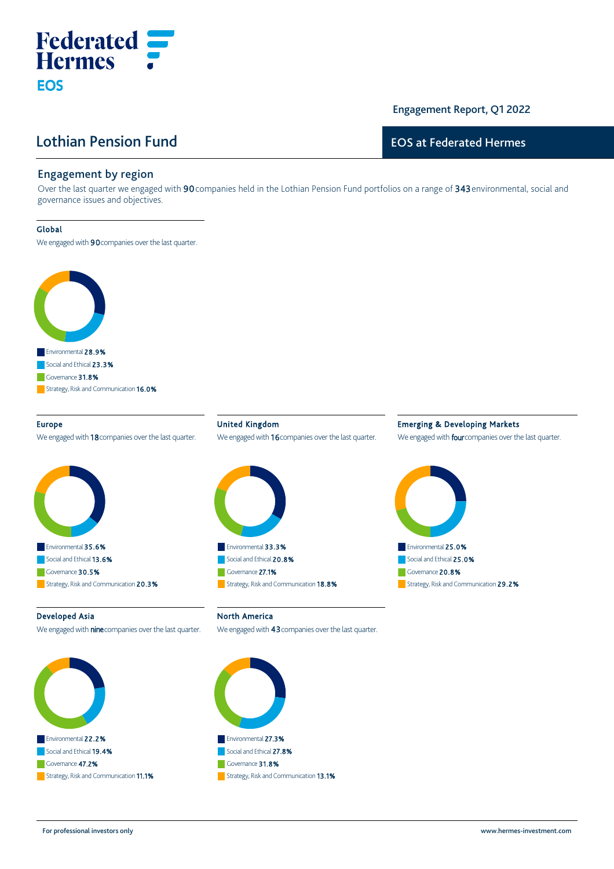# Lothian Pension Fund

# Engagement Report, Q1 2022

## EOS at Federated Hermes

## Engagement by region

**Federated**<br>**Hermes** :

Over the last quarter we engaged with 90 companies held in the Lothian Pension Fund portfolios on a range of 343 environmental, social and governance issues and objectives.

#### Global

**EOS** 

We engaged with 90 companies over the last quarter.



### Europe

We engaged with 18 companies over the last quarter.



United Kingdom We engaged with 16 companies over the last quarter.



## Emerging & Developing Markets

We engaged with **four** companies over the last quarter.



#### Developed Asia

We engaged with **nine** companies over the last quarter.



North America

We engaged with 43 companies over the last quarter.



For professional investors only www.hermes‐investment.com